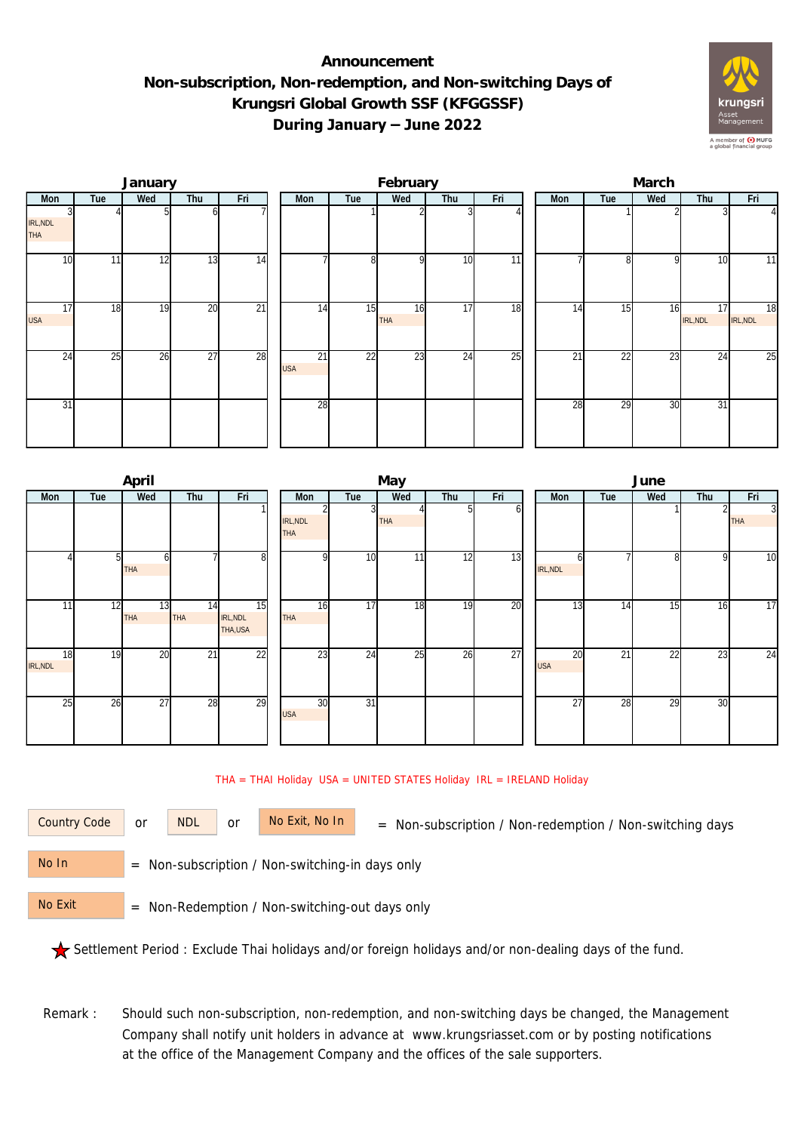## **Announcement Non-subscription, Non-redemption, and Non-switching Days of Krungsri Global Growth SSF (KFGGSSF) During January – June 2022**



|                  |     | January |                 |                 |                  |     | February         |     |     | March |     |     |                |                 |  |  |
|------------------|-----|---------|-----------------|-----------------|------------------|-----|------------------|-----|-----|-------|-----|-----|----------------|-----------------|--|--|
| Mon              | Tue | Wed     | Thu             | Fri             | Mon              | Tue | Wed              | Thu | Fri | Mon   | Tue | Wed | Thu            | Fri             |  |  |
| IRL, NDL<br>THA  |     |         |                 |                 |                  |     |                  |     |     |       |     |     |                | $\vert$         |  |  |
| 10               | 11  | 12      | 13              | 14              |                  | 8   | O                | 10  | 11  |       | 8   | -Q  | 10             | 11              |  |  |
| 17<br><b>USA</b> | 18  | 19      | 20              | $\overline{21}$ | 14               | 15  | 16<br><b>THA</b> | 17  | 18  | 14    | 15  | 16  | 17<br>IRL, NDL | 18<br>IRL, NDL  |  |  |
| 24               | 25  | 26      | $\overline{27}$ | 28              | 21<br><b>USA</b> | 22  | 23               | 24  | 25  | 21    | 22  | 23  | 24             | $\overline{25}$ |  |  |
| 31               |     |         |                 |                 | 28               |     |                  |     |     | 28    | 29  | 30  | 31             |                 |  |  |

|                |     | April            |                  |                            |                        |     | May        |     |     | June             |     |                 |     |                              |  |  |
|----------------|-----|------------------|------------------|----------------------------|------------------------|-----|------------|-----|-----|------------------|-----|-----------------|-----|------------------------------|--|--|
| <b>Mon</b>     | Tue | Wed              | Thu              | Fri                        | Mon                    | Tue | Wed        | Thu | Fri | <b>Mon</b>       | Tue | Wed             | Thu | Fri                          |  |  |
|                |     |                  |                  |                            | IRL, NDL<br><b>THA</b> |     | <b>THA</b> |     | ΩI  |                  |     |                 |     | $\overline{3}$<br><b>THA</b> |  |  |
|                |     | <b>THA</b>       |                  | $8 \,$                     | $\Omega$               | 10  | 11         | 12  | 13  | IRL, NDL         |     | 8               | 9   | 10                           |  |  |
| 11             | 12  | 13<br><b>THA</b> | 14<br><b>THA</b> | 15<br>IRL, NDL<br>THA, USA | 16<br><b>THA</b>       | 17  | 18         | 19  | 20  | 13               | 14  | $1\overline{5}$ | 16  | 17                           |  |  |
| 18<br>IRL, NDL | 19  | $\overline{20}$  | $\overline{21}$  | 22                         | 23                     | 24  | 25         | 26  | 27  | 20<br><b>USA</b> | 21  | 22              | 23  | 24                           |  |  |
| 25             | 26  | 27               | 28               | 29                         | 30<br><b>USA</b>       | 31  |            |     |     | 27               | 28  | 29              | 30  |                              |  |  |

## THA = THAI Holiday USA = UNITED STATES Holiday IRL = IRELAND Holiday

or NDL or

Country Code or NDL or No Exit, No In = Non-subscription / Non-redemption / Non-switching days

 = Non-subscription / Non-switching-in days only No In

 = Non-Redemption / Non-switching-out days only No Exit

Settlement Period : Exclude Thai holidays and/or foreign holidays and/or non-dealing days of the fund.

Remark : Should such non-subscription, non-redemption, and non-switching days be changed, the Management Company shall notify unit holders in advance at www.krungsriasset.com or by posting notifications at the office of the Management Company and the offices of the sale supporters.